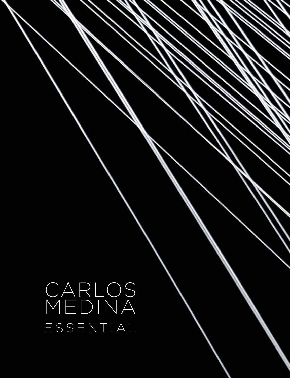CARLOS MEDINA ESSENTIAL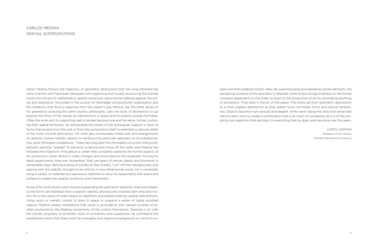Carlos Medina follows the trajectory of geometric abstraction that has long informed the work of artists who have been obsessed with organizing and visually structuring the outside world with the aid of mathematics, spatial constructs, and a formal defense against the lyrical and expressive. Grounded in the pursuit of hard-edge compositional organization and the vibrations that force a response from the viewer's eye, Medina, like the other artists of his generation pursuing the same stylistic philosophy, uses the tools of abstraction to go beyond the limits of the canvas as interventions in space and to extend outside the frame. Often the work and its supporting wall or border become one and the same, further confusing their spatial territories. He relinquished the notion of the rectangular support in favor of forms that project from the wall, or from the composition itself, to resemble sculptural reliefs of the most minimal description. His work also incorporates metal rods and arrangements of carefully chosen metallic objects to reinforce this particular approach to his transformative, quite Minimalist installations. There has long been the Minimalist conviction that purist, abstract painting "wanted" to become sculpture and move off the walls, and Medina has followed this trajectory throughout a career that constantly explores the formal aspects of art production, never afraid to make changes and move beyond the expected. Among his latest experiments, there are "ensembles" that use layers of canvas, plastic and aluminum in remarkable ways, defying a sense of solidity as they literally "curl" off their backgrounds, and playing with the stability thought to be intrinsic in two-dimensional works. He is constantly using a variety of materials and expressive methods to carry his experiments with plane and surface to create new spatial constructs and interactions.

Some of his most recent work involves suspending the geometric elements, lines and shapes, so the forms are liberated from a specific identity and become involved with time and motion for a new sense of order based on repetition and spatial ordering: spatial interventions. Using nylon or metallic chords to draw in space or suspend a series of highly polished objects, Medina creates installations that move in accordance with natural currents of air, often produced by the fleeting movements of the visitors themselves. Drawing in air with the chords, singularly or as artistic tools of connection and suspension, he contradicts the established notion that there must be a tangible and objective background on which to explore and then establish artistic ideas. By superimposing and repeating certain elements, the perceptual universe of the spectator is affected, while he also brings emphasis to the formal concepts dependent on the linear so basic to the production of art by eliminating anything of distraction. They exist in the air of the space. The works go from geometric abstraction to a more organic abstraction as they adopt more curvilinear forms and natural sensibilities. Objects become more sensual and elegant, while never losing the reductive sense that informs each work to create a combination that is as much of complexity, as it is of the simplicity and repetition that are basic to everything that he does, and has done over the years.

Carol Damian Professor of Art History Florida International University

## CARLOS MEDINA SPATIAL INTERVENTIONS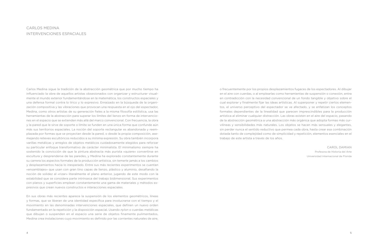Carlos Medina sigue la tradición de la abstracción geométrica que por mucho tiempo ha influenciado la obra de aquellos artistas obsesionados con organizar y estructurar visualmente el mundo exterior fundamentándose en la matemática, los constructos espaciales y una defensa formal contra lo lírico y lo expresivo. Enraizado en la búsqueda de la organización compositiva y las vibraciones que provocan una respuesta en el ojo del espectador, Medina, como otros artistas de su generación fieles a la misma filosofía estilística, usa las herramientas de la abstracción para superar los límites del lienzo en forma de intervenciones en el espacio que se extienden más allá del marco convencional. Con frecuencia, la obra y la pared que le sirve de soporte o límite se funden en una única forma que confunde aún más sus territorios espaciales. La noción del soporte rectangular es abandonada y reemplazada por formas que se proyectan desde la pared, o desde la propia composición, asemejando relieves escultóricos reducidos a su mínima expresión. Su obra también incorpora varillas metálicas y arreglos de objetos metálicos cuidadosamente elegidos para reforzar su particular enfoque transformativo de carácter minimalista. El minimalismo siempre ha sostenido la convicción de que la pintura abstracta más purista «quiere» convertirse en escultura y desprenderse de las paredes, y Medina ha explorado constantemente durante su carrera los aspectos formales de la producción artística, sin temerle jamás a los cambios y desplazamientos hacia lo inesperado. Entre sus más recientes experimentos se cuentan «ensamblajes» que usan con gran tino capas de lienzo, plástico y aluminio, desafiando la noción de solidez al «rizar» literalmente el plano anterior, jugando de este modo con la estabilidad que se considera parte intrínseca del trabajo bidimensional. Sus experimentos con planos y superficies emplean constantemente una gama de materiales y métodos expresivos que crean nuevos constructos e interacciones espaciales.

En sus obras más recientes aparece la suspensión de los elementos geométricos, líneas y formas, que se liberan de una identidad específica para involucrarse con el tiempo y el movimiento en las denominadas intervenciones espaciales, que definen un nuevo orden fundamentado en la repetición y la disposición espacial. Usando *nylon* o cuerdas metálicas que dibujan o suspenden en el espacio una serie de objetos finamente pulimentados, Medina crea instalaciones cuyo movimiento es definido por las corrientes naturales de aire,

## CARLOS MEDINA INTERVENCIONES ESPACIALES

o frecuentemente por los propios desplazamientos fugaces de los espectadores. Al dibujar en el aire con cuerdas, o al emplearlas como herramientas de suspensión o conexión, entra en contradicción con la necesidad convencional de un fondo tangible y objetivo sobre el cual explorar y finalmente fijar las ideas artísticas. Al superponer y repetir ciertos elementos, el universo perceptivo del espectador se ve afectado, y se enfatizan los conceptos formales dependientes de la linealidad que parecen imprescindibles para la producción artística al eliminar cualquier distracción. Las obras existen en el aire del espacio, pasando de la abstracción geométrica a una abstracción más orgánica que adopta formas más curvilíneas y sensibilidades más naturales. Los objetos se hacen más sensuales y elegantes, sin perder nunca el sentido reductivo que permea cada obra, hasta crear esa combinación dotada tanto de complejidad como de simplicidad y repetición, elementos esenciales en el trabajo de este artista a través de los años.

Carol Damian Profesora de Historia del Arte Universidad Internacional de Florida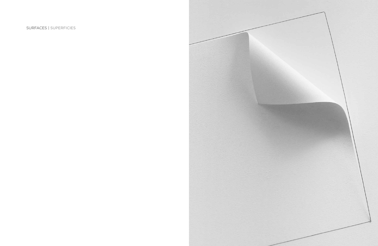## SURFACES | SUPERFICIES

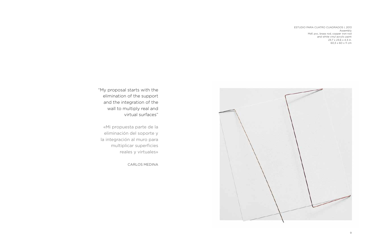

"My proposal starts with the elimination of the support and the integration of the wall to multiply real and virtual surfaces"

«Mi propuesta parte de la eliminación del soporte y la integración al muro para multiplicar superficies reales y virtuales»

CARLOS MEDINA

ESTUDIO PARA CUATRO CUADRADOS I, 2013 Assembly Mdf, pvc, brass rod, copper iron rod and white vinyl acrylic paint 23.7 x 23.6 x 4.3 in. 60,3 x 60 x 11 cm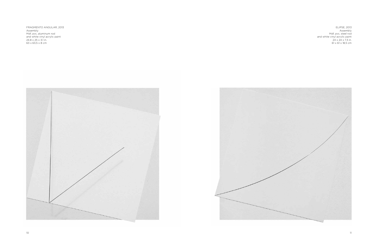FRAGMENTO ANGULAR, 2013 Assembly Mdf, pvc, aluminum rod and white vinyl acrylic paint 24.8 x 25 x 3.1 in. 63 x 63,5 x 8 cm





ELIPSE, 2013 Assembly Mdf, pvc, steel rod and white vinyl acrylic paint 24 x 24 x 7.3 in. 61 x 61 x 18,5 cm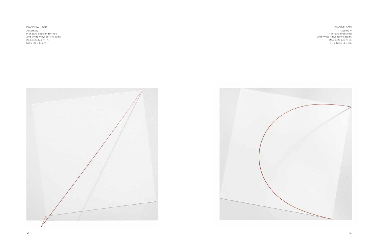OVOIDE, 2013 Assembly Mdf, pvc, brass rod and white vinyl acrylic paint 23.6 x 23.6 x 7.1 in. 60 x 60 x 13,5 cm

DIAGONAL, 2013 Assembly Mdf, pvc, copper iron rod and white vinyl acrylic paint 23.6 x 23.6 x 7.1 in. 60 x 60 x 18 cm



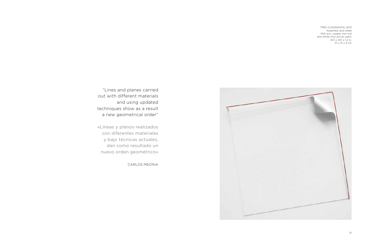TRES CUADRADOS, 2013 Assembly and rolled Mdf, pvc, copper iron rod and white vinyl acrylic paint 20.1 x 20.1 x 1.2 in. 51 x 51 x 3 cm



"Lines and planes carried out with different materials and using updated techniques show as a result a new geometrical order"

«Líneas y planos realizados con diferentes materiales y bajo técnicas actuales, dan como resultado un nuevo orden geométrico»

CARLOS MEDINA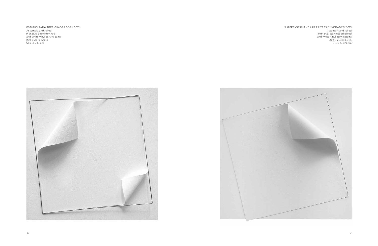ESTUDIO PARA TRES CUADRADOS I, 2013 Assembly and rolled Mdf, pvc, aluminum rod and white vinyl acrylic paint 20.1 x 20.1 x 5.9 in. 51 x 51 x 15 cm





SUPERFICIE BLANCA PARA TRES CUADRADOS, 2013 Assembly and rolled Mdf, pvc, stainless steel rod and white vinyl acrylic paint 20.3 x 20.1 x 3.5 in. 51,5 x 51 x 9 cm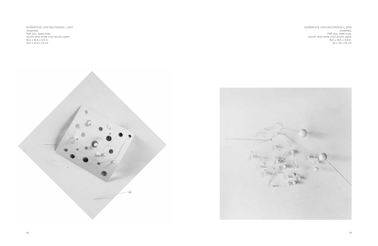SUPERFICIE CON NEUTRINOS I, 2014 Assembly Mdf, pvc, steel rods, acrylic and white vinyl acrylic paint 16.2 x 16.3 x 5.5 in. 41,2 x 41,5 x 14 cm





SUPERFICIE CON NEUTRINOS II, 2014 Assembly Mdf, pvc, steel rods, acrylic and white vinyl acrylic paint 16.5 x 16.5 x 3,9 in. 42 x 42 x 10 cm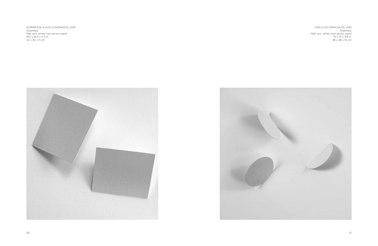SUPERFICIE A DOS CUADRADOS, 2015 Assembly Mdf, pvc, white vinyl acrylic paint 16.5 x 16.5 x 4.3 in. 42 x 42 x 11 cm





CÍRCULOS ESPACIALES, 2015 Assembly Mdf, pvc, white vinyl acrylic paint 14 x 14 x 3.9 in. 38 x 38 x 10 cm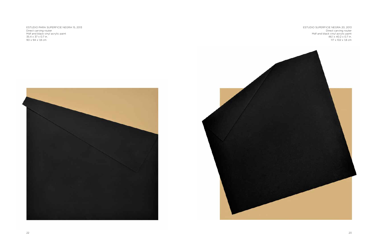ESTUDIO PARA SUPERFICIE NEGRA 15, 2013 Direct carving router Mdf and black vinyl acrylic paint 35.4 x 37 x 0.7 in. 90 x 94 x 1,8 cm





ESTUDIO SUPERFICIE NEGRA 20, 2013 Direct carving router Mdf and black vinyl acrylic paint 46.1 x 40.2 x 0.7 in. 117 x 102 x 1,8 cm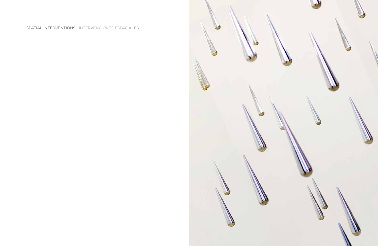# SPATIAL INTERVENTIONS | INTERVENCIONES ESPACIALES















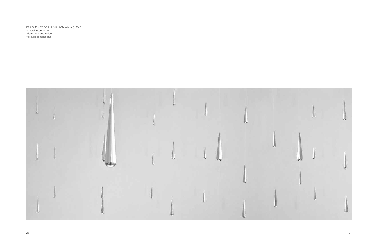FRAGMENTO DE LLUVIA AGM (detail), 2016 Spatial intervention Aluminum and nylon Variable dimensions

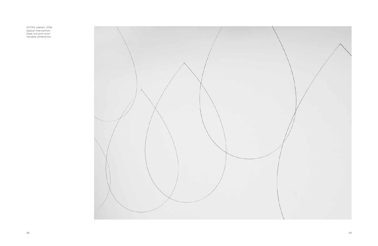GOTAS (detail), 2016 Spatial intervention Steel rod and nylon Variable dimensions

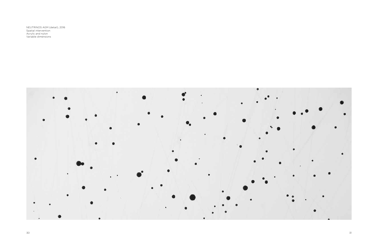NEUTRINOS AGM (detail), 2016 Spatial intervention Acrylic and nylon Variable dimensions

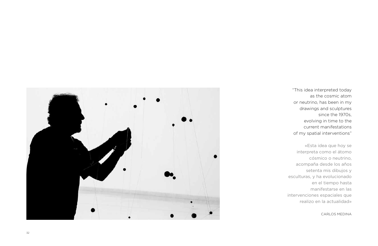

"This idea interpreted today as the cosmic atom or neutrino, has been in my drawings and sculptures since the 1970s, evolving in time to the current manifestations of my spatial interventions"

«Esta idea que hoy se interpreta como el átomo cósmico o neutrino, acompaña desde los años setenta mis dibujos y esculturas, y ha evolucionado en el tiempo hasta manifestarse en las intervenciones espaciales que realizo en la actualidad»

CARLOS MEDIN A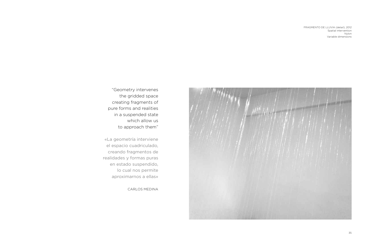FRAGMENTO DE LLUVIA (detail), 2012 Spatial intervention Nylon Variable dimensions



"Geometry intervenes the gridded space creating fragments of pure forms and realities in a suspended state which allow us to approach them"

«La geometría interviene el espacio cuadriculado, creando fragmentos de realidades y formas puras en estado suspendido, lo cual nos permite aproximarnos a ellas»

CARLOS MEDINA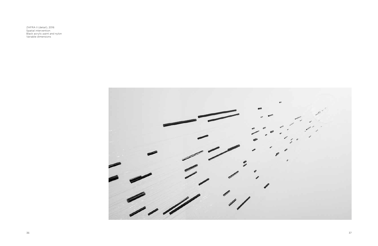ZAFRA II (detail), 2016 Spatial intervention Black acrylic paint and nylon Variable dimensions

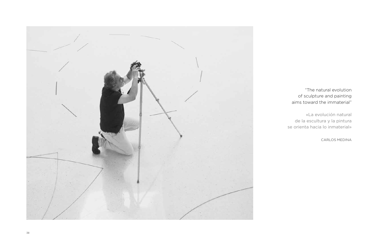

# "The natural evolution of sculpture and painting aims toward the immaterial"

«La evolución natural de la escultura y la pintura se orienta hacia lo inmaterial»

CARLOS MEDINA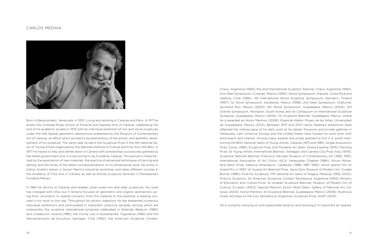Born in Barquisimeto, Venezuela, in 1953. Living and working in Caracas and Paris. In 1971 he enters the Cristobal Rojas School of Pictorial and Applied Arts of Caracas, celebrating the end of his academic studies in 1975 with an individual exhibition of iron and stone sculptures under the title Spatial geometric abstractions presented by the Museum of Contemporary Art of Caracas, an effort which proved to be premonitory of the artistic and aesthetic development of his sculpture. The same year he earns the Sculpture Prize in the 4th National Salon of Young Artists organized by the National Institute of Culture and Fine Arts (INCIBA). In 1977 he travels to Italy and settles down in Carrara with scholarships successively granted by the Italian government and, in a second term, by Fundarte, Caracas. This period is characterized by the exploration of new materials, the practice of advanced techniques of carving and lathing, and the study of the latest conceptualizations on tri-dimensional work. He works in Carlos Andrei's atelier, in Gonari Marmi's industrial workshop, and takes different courses in the Academy of Fine Arts in Carrara, as well as bronze sculpture seminars in Pietrasanta's Fonderia Mariani.

In 1984 he returns to Caracas and retakes urban-scale iron and steel sculptures. His work has changed with time, but it remains focused on geometric and organic abstraction, going from volumetric to spatial concerns, from the material to the essential, a leading concept in his work to this day. Throughout his artistic trajectory he has presented numerous individual exhibitions and participated in important collective samples, among which are noteworthy the sculpture international symposia celebrated in Ostende, Belgium (1980) and Lindabrunn, Austria (1981); the *Forma viva* in Kostanjevika, Yugoslavia (1982) and the *Iberoamericano de Escultura*, Santiago, Chile (1992); the *American Sculpture Contest*,

## CARLOS MEDINA



Chaco, Argentina (1993); the *2nd International Sculptors Triennial*, Chaco, Argentina (1994); *2nd Steel Symposium*, Culiacán, Mexico (1995); *Wood Symposium*, Alajuela, Costa Rica and Valdivia, Chile (1996); *11th International Wood Sculpture Symposium*, Kemijärvi, Finland (1997); *1st Stone Symposium*, Zacatecas, Mexico (1998); *2nd Steel Symposium*, Chetumal, Quintana Roo, Mexico (2003); *4th Wood Symposium*, Guadalajara, México (2005); *3rd Granite Symposium*, Yeongwol, South Korea, and *1st Colloquium on International Sculpture Symposia*, Guadalajara, Mexico (2006); *1st Sculpture Biennial*, Guadalajara, Mexico, where he is awarded an Honor Mention (2008); *Essential Atelier*, Museo de las Artes, Universidad de Guadalajara, Mexico (2012). Between 1975 and 2013 Carlos Medina's exhibitions have reflected the intense pace of his daily work at his atelier. Museums and private galleries in Venezuela, Latin America, Europe and the United States have hosted his work both with enthusiasm and interest. Among many awards and prizes granted to him it is worth mentioning *INCIBA's National Salon of Young Artists*, Caracas (1975 and 1981); Single Acquisition Prize, Conac (1981); Sculpture Prize, *2nd Fondene Art Salon*, Nueva Esparta (1976); Painting Prize, *1st Young Artists International Biennial*, Viareggio, and Carrara City Prize, Italy (1978); *Sculpture National Biennial*, Francisco Narváez Museum of Contemporary Art (1982, 1991); International Association of Art Critics, AICA, Venezuelan Chapter (1984); Arturo Michelena Salon Prize, Valencia Athenaeum, Carabobo (1986, 1987, 1992), which grants him its Grand Prix in 1993; 1st Guiana Art Biennial Prize, Jesús Soto Museum of Modern Art, Ciudad Bolívar (1986); Prize for Sculpture, *17th National Art Salon of Aragua*, Maracay (1992, 2002); Prize to Sculptors, *1st American Sculpture Contest*, Resistencia, Argentina (1993); Ministry of Education and Culture Prize, *1st Andean Sculpture Biennial*, Museum of Modern Art of Cuenca, Ecuador (2002); Special Mention, *Exxon Mobil Salon*, Gallery of National Art, Caracas (2003); Honor Mention, *1st Sculpture Biennia*l, Guadalajara, México (2008); Illustrious Guest and Keys to the City, Resistencia, Argentina. Sculpture Prize, AVAP (2014).

He is currently carrying on with passionate tenacity and showing it in important art spaces.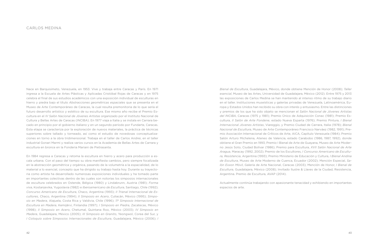*Bienal de Escultura*, Guadalajara, México, donde obtiene Mención de Honor (2008); *Taller esencial*, Museo de las Artes, Universidad de Guadalajara, México (2012). Entre 1975 y 2013 las exposiciones de Carlos Medina se han mantenido al intenso ritmo de su trabajo diario en el taller. Instituciones museísticas y galerías privadas de Venezuela, Latinoamérica, Europa y Estados Unidos han recibido su obra con interés y entusiasmo. Entre las distinciones y premios de los que ha sido objeto se mencionan el *Salón Nacional de Jóvenes Artistas del INCIBA*, Caracas (1975 y 1981); Premio Único de Adquisición Conac (1981); Premio Escultura, *II Salón de Arte Fondene*, estado Nueva Esparta (1976); Premio Pintura, *I Bienal Internacional Jóvenes Artistas*, Viareggio, y Premio Ciudad de Carrara, Italia (1978); *Bienal Nacional de Escultura*, Museo de Arte Contemporáneo Francisco Narváez (1982, 1991); Premio Asociación Internacional de Críticos de Arte, AICA, Capítulo Venezuela (1984); Premio Salón Arturo Michelena, Ateneo de Valencia, estado Carabobo (1986, 1987, 1992), donde obtiene el Gran Premio en 1993; Premio I Bienal de Arte de Guayana, Museo de Arte Moderno Jesús Soto, Ciudad Bolívar (1986); Premio para Escultura, *XVII Salón Nacional de Arte Aragua*, Maracay (1992, 2002); Premio de los Escultores, *I Concurso Americano de Escultura, Resistencia*, Argentina (1993); Premio Ministerio de Educación y Cultura, *I Bienal Andina de Escultura*, Museo de Arte Moderno de Cuenca, Ecuador (2002); Mención Especial, *Salón Exxon Móvil*, Galería de Arte Nacional, Caracas (2003); Mención de Honor, *I Bienal de Escultura*, Guadalajara, México (2008); Invitado Ilustre & Llaves de la Ciudad, Resistencia, Argentina. Premio de Escultura, AVAP (2014).

Actualmente continúa trabajando con apasionante tenacidad y exhibiendo en importantes

espacios de arte.

Nace en Barquisimeto, Venezuela, en 1953. Vive y trabaja entre Caracas y París. En 1971 ingresa a la Escuela de Artes Plásticas y Aplicadas Cristóbal Rojas de Caracas y en 1975 celebra el final de sus estudios académicos con una exposición individual de esculturas en hierro y piedra bajo el título *Abstracciones geométricas espaciales* que se presenta en el Museo de Arte Contemporáneo de Caracas, la cual resulta premonitoria de lo que sería el futuro desarrollo artístico y estético de su escultura. Ese mismo año recibe el Premio Escultura en el *IV Salón Nacional de Jóvenes Artistas* organizado por el Instituto Nacional de Cultura y Bellas Artes de Caracas (INCIBA). En 1977 viaja a Italia y se instala en Carrara becado en principio por el gobierno italiano y en un segundo período por Fundarte, Caracas. Esta etapa se caracteriza por la exploración de nuevos materiales, la práctica de técnicas superiores sobre tallado y torneado, así como el estudio de novedosas conceptualizaciones en torno a la obra tridimensional. Trabaja en el taller de Carlos Andrei, en el taller industrial Gonari Marmi y realiza varios cursos en la Academia de Bellas Artes de Carrara y escultura en bronce en la Fonderia Mariani de Pietrasanta.

En 1984 regresa a Caracas y retoma la escultura en hierro y acero para producción a escala urbana. Con el paso del tiempo su obra manifiesta cambios, pero siempre focalizada en la abstracción geométrica y orgánica, pasando de la volumetría a la espacialidad, de lo material a lo esencial, concepto que ha dirigido su trabajo hasta hoy. Durante su trayectoria como artista ha desarrollado numerosas exposiciones individuales y ha tomado parte en importantes colectivas dentro de las cuales son notorias los simposios internacionales de escultura celebrados en Ostende, Bélgica (1980) y Lindabrunn, Austria (1981); *Forma viva*, Kostanjevika, Yugoslavia (1982) e *Iberoamericano de Escultura*, Santiago, Chile (1992); *Concurso Americano de Escultura*, Chaco, Argentina (1993); *II Trienal Internacional de Escultores*, Chaco, Argentina (1994); *II Simposio en Acero*, Culiacán, México (1995); *Simposio en Madera*, Alajuela, Costa Rica y Valdivia, Chile (1996); *11º Simposio Internacional de Escultura en Madera*, Kemijärvi, Finlandia (1997); *I Simposio en Piedra*, Zacatecas, México (1998); *II Simposio en Acero*, Chetumal, Quintana Roo, México (2003); *IV Simposio en Madera*, Guadalajara, México (2005); *III Simposio en Granito*, Yeongwol, Corea del Sur, y *I Coloquio sobre Simposios Internacionales de Escultura*, Guadalajara, México (2006); *I*